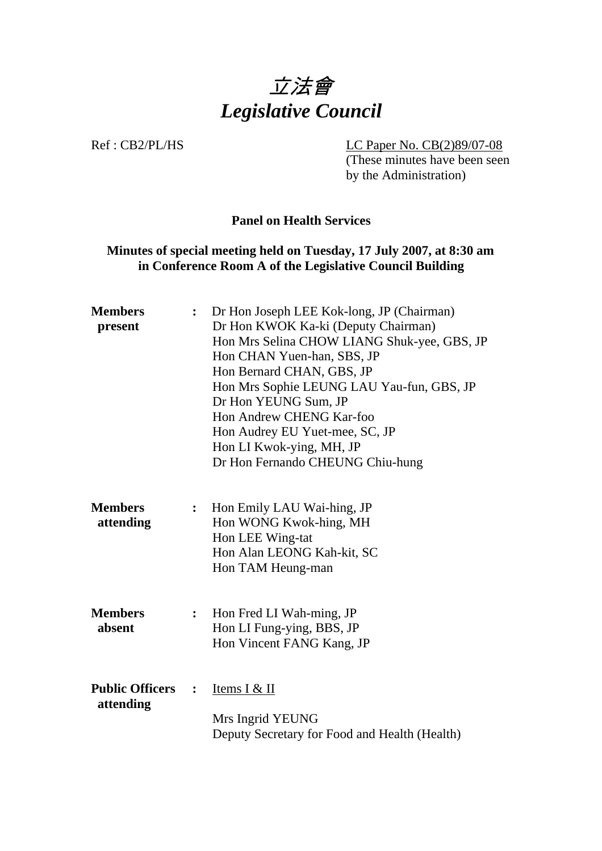

Ref : CB2/PL/HS LC Paper No. CB(2)89/07-08 (These minutes have been seen by the Administration)

## **Panel on Health Services**

# **Minutes of special meeting held on Tuesday, 17 July 2007, at 8:30 am in Conference Room A of the Legislative Council Building**

| <b>Members</b><br>present           | $\ddot{\cdot}$ | Dr Hon Joseph LEE Kok-long, JP (Chairman)<br>Dr Hon KWOK Ka-ki (Deputy Chairman)<br>Hon Mrs Selina CHOW LIANG Shuk-yee, GBS, JP<br>Hon CHAN Yuen-han, SBS, JP<br>Hon Bernard CHAN, GBS, JP<br>Hon Mrs Sophie LEUNG LAU Yau-fun, GBS, JP<br>Dr Hon YEUNG Sum, JP<br>Hon Andrew CHENG Kar-foo<br>Hon Audrey EU Yuet-mee, SC, JP<br>Hon LI Kwok-ying, MH, JP<br>Dr Hon Fernando CHEUNG Chiu-hung |
|-------------------------------------|----------------|-----------------------------------------------------------------------------------------------------------------------------------------------------------------------------------------------------------------------------------------------------------------------------------------------------------------------------------------------------------------------------------------------|
| <b>Members</b><br>attending         | :              | Hon Emily LAU Wai-hing, JP<br>Hon WONG Kwok-hing, MH<br>Hon LEE Wing-tat<br>Hon Alan LEONG Kah-kit, SC<br>Hon TAM Heung-man                                                                                                                                                                                                                                                                   |
| <b>Members</b><br>absent            | $\ddot{\cdot}$ | Hon Fred LI Wah-ming, JP<br>Hon LI Fung-ying, BBS, JP<br>Hon Vincent FANG Kang, JP                                                                                                                                                                                                                                                                                                            |
| <b>Public Officers</b><br>attending | $\ddot{\cdot}$ | Items I & II<br>Mrs Ingrid YEUNG<br>Deputy Secretary for Food and Health (Health)                                                                                                                                                                                                                                                                                                             |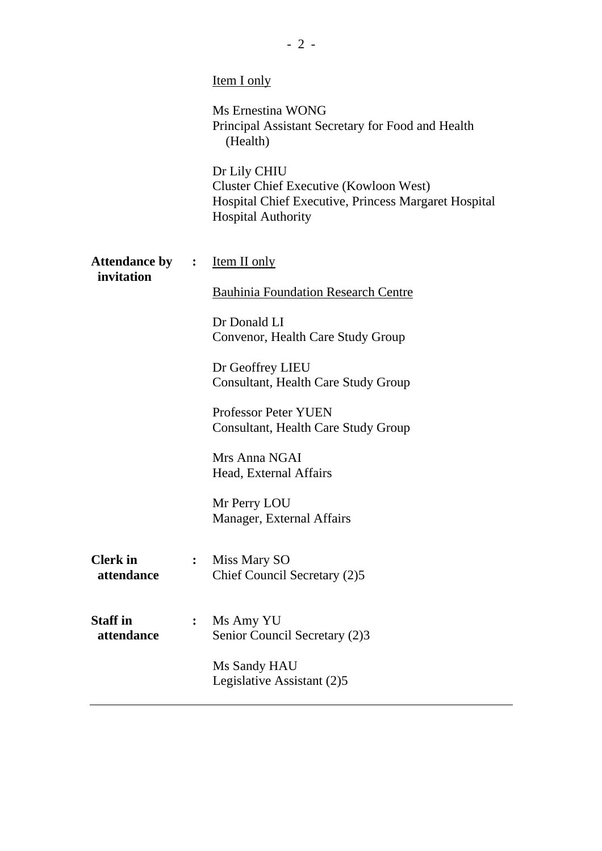|                                      |                | <b>Item I only</b>                                                                                                                                 |
|--------------------------------------|----------------|----------------------------------------------------------------------------------------------------------------------------------------------------|
|                                      |                | Ms Ernestina WONG<br>Principal Assistant Secretary for Food and Health<br>(Health)                                                                 |
|                                      |                | Dr Lily CHIU<br><b>Cluster Chief Executive (Kowloon West)</b><br>Hospital Chief Executive, Princess Margaret Hospital<br><b>Hospital Authority</b> |
| <b>Attendance by :</b><br>invitation |                | <b>Item II only</b>                                                                                                                                |
|                                      |                | <b>Bauhinia Foundation Research Centre</b>                                                                                                         |
|                                      |                | Dr Donald LI<br>Convenor, Health Care Study Group                                                                                                  |
|                                      |                | Dr Geoffrey LIEU<br>Consultant, Health Care Study Group                                                                                            |
|                                      |                | <b>Professor Peter YUEN</b><br>Consultant, Health Care Study Group                                                                                 |
|                                      |                | Mrs Anna NGAI<br>Head, External Affairs                                                                                                            |
|                                      |                | Mr Perry LOU<br>Manager, External Affairs                                                                                                          |
| <b>Clerk</b> in<br>attendance        | $\ddot{\cdot}$ | Miss Mary SO<br>Chief Council Secretary (2)5                                                                                                       |
| <b>Staff</b> in<br>attendance        | $\ddot{\cdot}$ | Ms Amy YU<br>Senior Council Secretary (2)3                                                                                                         |
|                                      |                | Ms Sandy HAU<br>Legislative Assistant (2)5                                                                                                         |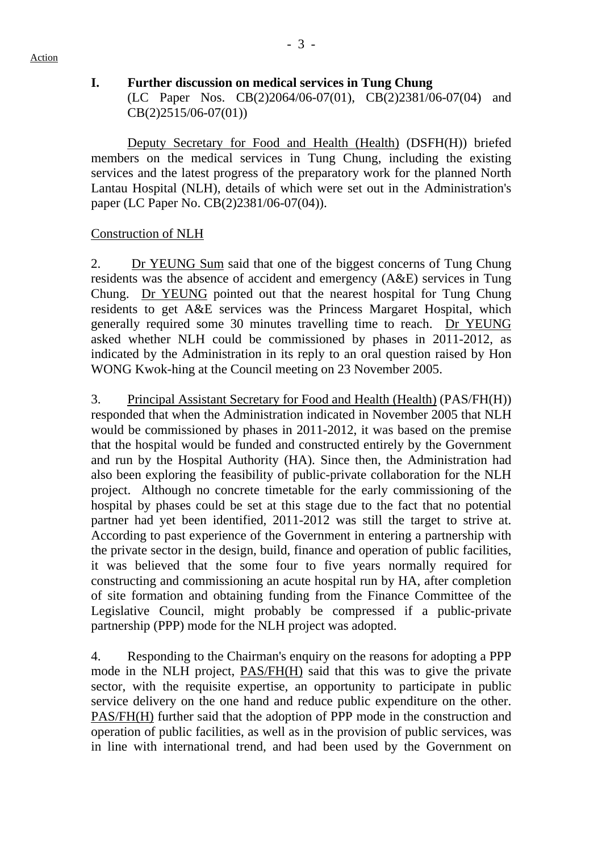### **I. Further discussion on medical services in Tung Chung**

(LC Paper Nos. CB(2)2064/06-07(01), CB(2)2381/06-07(04) and CB(2)2515/06-07(01))

 Deputy Secretary for Food and Health (Health) (DSFH(H)) briefed members on the medical services in Tung Chung, including the existing services and the latest progress of the preparatory work for the planned North Lantau Hospital (NLH), details of which were set out in the Administration's paper (LC Paper No. CB(2)2381/06-07(04)).

## Construction of NLH

 2. Dr YEUNG Sum said that one of the biggest concerns of Tung Chung residents was the absence of accident and emergency (A&E) services in Tung Chung. Dr YEUNG pointed out that the nearest hospital for Tung Chung residents to get A&E services was the Princess Margaret Hospital, which generally required some 30 minutes travelling time to reach. Dr YEUNG asked whether NLH could be commissioned by phases in 2011-2012, as indicated by the Administration in its reply to an oral question raised by Hon WONG Kwok-hing at the Council meeting on 23 November 2005.

3. Principal Assistant Secretary for Food and Health (Health) (PAS/FH(H)) responded that when the Administration indicated in November 2005 that NLH would be commissioned by phases in 2011-2012, it was based on the premise that the hospital would be funded and constructed entirely by the Government and run by the Hospital Authority (HA). Since then, the Administration had also been exploring the feasibility of public-private collaboration for the NLH project. Although no concrete timetable for the early commissioning of the hospital by phases could be set at this stage due to the fact that no potential partner had yet been identified, 2011-2012 was still the target to strive at. According to past experience of the Government in entering a partnership with the private sector in the design, build, finance and operation of public facilities, it was believed that the some four to five years normally required for constructing and commissioning an acute hospital run by HA, after completion of site formation and obtaining funding from the Finance Committee of the Legislative Council, might probably be compressed if a public-private partnership (PPP) mode for the NLH project was adopted.

4. Responding to the Chairman's enquiry on the reasons for adopting a PPP mode in the NLH project, PAS/FH(H) said that this was to give the private sector, with the requisite expertise, an opportunity to participate in public service delivery on the one hand and reduce public expenditure on the other. PAS/FH(H) further said that the adoption of PPP mode in the construction and operation of public facilities, as well as in the provision of public services, was in line with international trend, and had been used by the Government on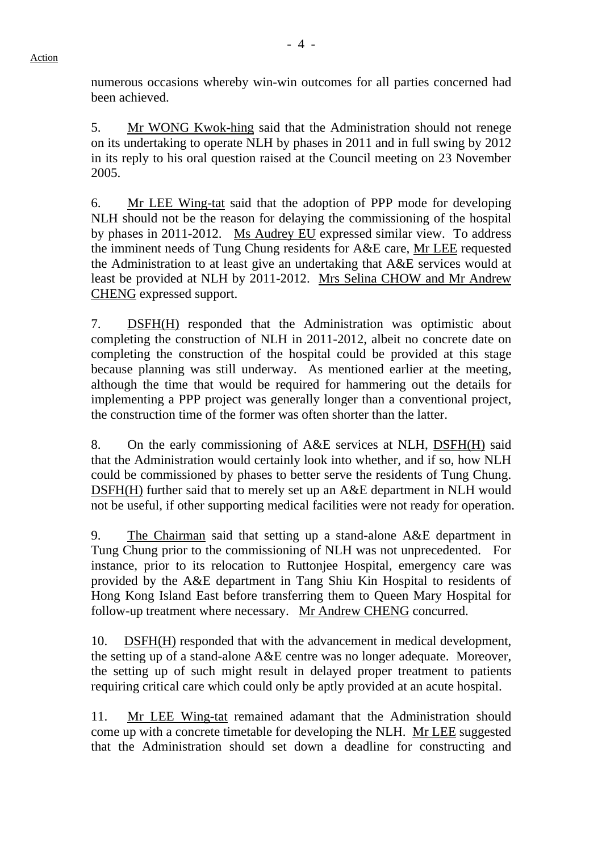numerous occasions whereby win-win outcomes for all parties concerned had been achieved.

5. Mr WONG Kwok-hing said that the Administration should not renege on its undertaking to operate NLH by phases in 2011 and in full swing by 2012 in its reply to his oral question raised at the Council meeting on 23 November 2005.

6. Mr LEE Wing-tat said that the adoption of PPP mode for developing NLH should not be the reason for delaying the commissioning of the hospital by phases in 2011-2012. Ms Audrey EU expressed similar view. To address the imminent needs of Tung Chung residents for A&E care, Mr LEE requested the Administration to at least give an undertaking that A&E services would at least be provided at NLH by 2011-2012. Mrs Selina CHOW and Mr Andrew CHENG expressed support.

7. DSFH(H) responded that the Administration was optimistic about completing the construction of NLH in 2011-2012, albeit no concrete date on completing the construction of the hospital could be provided at this stage because planning was still underway. As mentioned earlier at the meeting, although the time that would be required for hammering out the details for implementing a PPP project was generally longer than a conventional project, the construction time of the former was often shorter than the latter.

8. On the early commissioning of A&E services at NLH, DSFH(H) said that the Administration would certainly look into whether, and if so, how NLH could be commissioned by phases to better serve the residents of Tung Chung. DSFH(H) further said that to merely set up an A&E department in NLH would not be useful, if other supporting medical facilities were not ready for operation.

9. The Chairman said that setting up a stand-alone A&E department in Tung Chung prior to the commissioning of NLH was not unprecedented. For instance, prior to its relocation to Ruttonjee Hospital, emergency care was provided by the A&E department in Tang Shiu Kin Hospital to residents of Hong Kong Island East before transferring them to Queen Mary Hospital for follow-up treatment where necessary. Mr Andrew CHENG concurred.

10. DSFH(H) responded that with the advancement in medical development, the setting up of a stand-alone A&E centre was no longer adequate. Moreover, the setting up of such might result in delayed proper treatment to patients requiring critical care which could only be aptly provided at an acute hospital.

11. Mr LEE Wing-tat remained adamant that the Administration should come up with a concrete timetable for developing the NLH. Mr LEE suggested that the Administration should set down a deadline for constructing and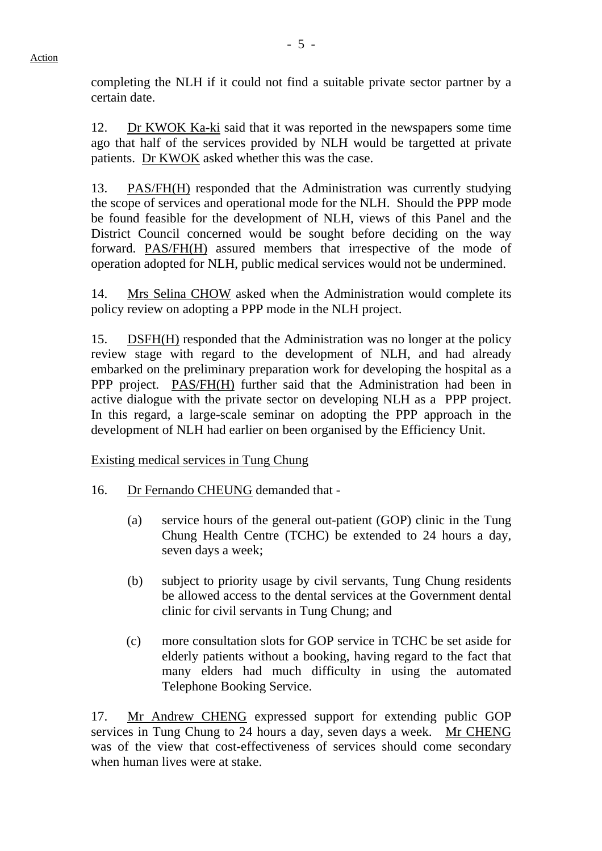completing the NLH if it could not find a suitable private sector partner by a certain date.

12. Dr KWOK Ka-ki said that it was reported in the newspapers some time ago that half of the services provided by NLH would be targetted at private patients. Dr KWOK asked whether this was the case.

13. PAS/FH(H) responded that the Administration was currently studying the scope of services and operational mode for the NLH. Should the PPP mode be found feasible for the development of NLH, views of this Panel and the District Council concerned would be sought before deciding on the way forward. PAS/FH(H) assured members that irrespective of the mode of operation adopted for NLH, public medical services would not be undermined.

14. Mrs Selina CHOW asked when the Administration would complete its policy review on adopting a PPP mode in the NLH project.

15. DSFH(H) responded that the Administration was no longer at the policy review stage with regard to the development of NLH, and had already embarked on the preliminary preparation work for developing the hospital as a PPP project. PAS/FH(H) further said that the Administration had been in active dialogue with the private sector on developing NLH as a PPP project. In this regard, a large-scale seminar on adopting the PPP approach in the development of NLH had earlier on been organised by the Efficiency Unit.

Existing medical services in Tung Chung

- 16. Dr Fernando CHEUNG demanded that
	- (a) service hours of the general out-patient (GOP) clinic in the Tung Chung Health Centre (TCHC) be extended to 24 hours a day, seven days a week;
	- (b) subject to priority usage by civil servants, Tung Chung residents be allowed access to the dental services at the Government dental clinic for civil servants in Tung Chung; and
	- (c) more consultation slots for GOP service in TCHC be set aside for elderly patients without a booking, having regard to the fact that many elders had much difficulty in using the automated Telephone Booking Service.

17. Mr Andrew CHENG expressed support for extending public GOP services in Tung Chung to 24 hours a day, seven days a week. Mr CHENG was of the view that cost-effectiveness of services should come secondary when human lives were at stake.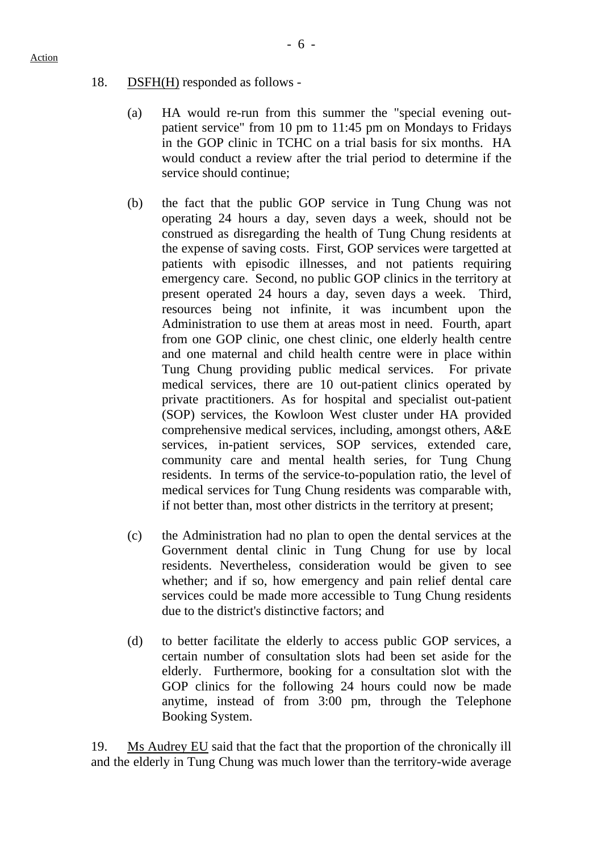## 18. DSFH(H) responded as follows -

- (a) HA would re-run from this summer the "special evening outpatient service" from 10 pm to 11:45 pm on Mondays to Fridays in the GOP clinic in TCHC on a trial basis for six months. HA would conduct a review after the trial period to determine if the service should continue;
- (b) the fact that the public GOP service in Tung Chung was not operating 24 hours a day, seven days a week, should not be construed as disregarding the health of Tung Chung residents at the expense of saving costs. First, GOP services were targetted at patients with episodic illnesses, and not patients requiring emergency care. Second, no public GOP clinics in the territory at present operated 24 hours a day, seven days a week. Third, resources being not infinite, it was incumbent upon the Administration to use them at areas most in need. Fourth, apart from one GOP clinic, one chest clinic, one elderly health centre and one maternal and child health centre were in place within Tung Chung providing public medical services. For private medical services, there are 10 out-patient clinics operated by private practitioners. As for hospital and specialist out-patient (SOP) services, the Kowloon West cluster under HA provided comprehensive medical services, including, amongst others, A&E services, in-patient services, SOP services, extended care, community care and mental health series, for Tung Chung residents. In terms of the service-to-population ratio, the level of medical services for Tung Chung residents was comparable with, if not better than, most other districts in the territory at present;
- (c) the Administration had no plan to open the dental services at the Government dental clinic in Tung Chung for use by local residents. Nevertheless, consideration would be given to see whether; and if so, how emergency and pain relief dental care services could be made more accessible to Tung Chung residents due to the district's distinctive factors; and
- (d) to better facilitate the elderly to access public GOP services, a certain number of consultation slots had been set aside for the elderly. Furthermore, booking for a consultation slot with the GOP clinics for the following 24 hours could now be made anytime, instead of from 3:00 pm, through the Telephone Booking System.

19. Ms Audrey EU said that the fact that the proportion of the chronically ill and the elderly in Tung Chung was much lower than the territory-wide average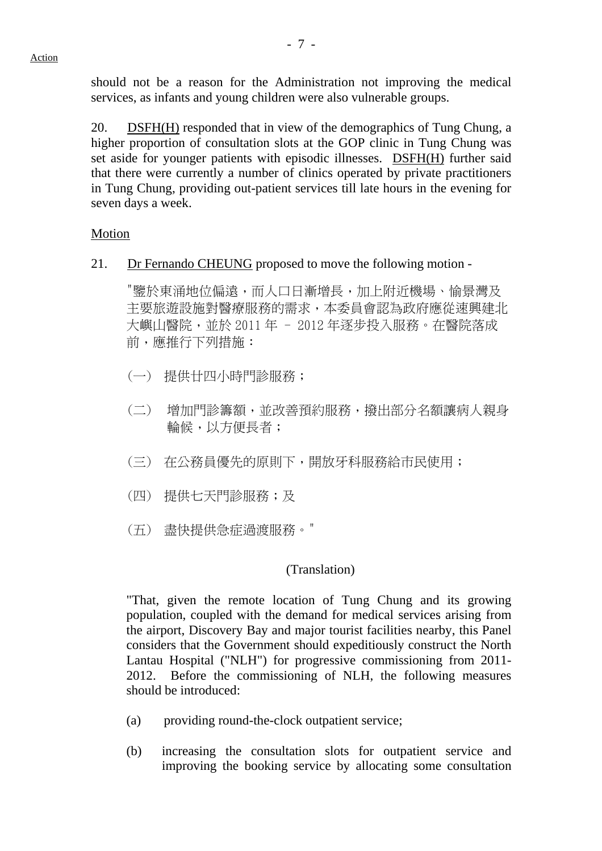should not be a reason for the Administration not improving the medical services, as infants and young children were also vulnerable groups.

20. DSFH(H) responded that in view of the demographics of Tung Chung, a higher proportion of consultation slots at the GOP clinic in Tung Chung was set aside for younger patients with episodic illnesses. DSFH(H) further said that there were currently a number of clinics operated by private practitioners in Tung Chung, providing out-patient services till late hours in the evening for seven days a week.

## **Motion**

21. Dr Fernando CHEUNG proposed to move the following motion -

"鑒於東涌地位偏遠,而人口日漸增長,加上附近機場、愉景灣及 主要旅遊設施對醫療服務的需求,本委員會認為政府應從速興建北 大嶼山醫院,並於 2011年 - 2012年逐步投入服務。在醫院落成 前,應推行下列措施:

- (一) 提供廿四小時門診服務;
- (二) 增加門診籌額,並改善預約服務,撥出部分名額讓病人親身 輪候,以方便長者;
- (三) 在公務員優先的原則下,開放牙科服務給市民使用;
- (四) 提供七天門診服務;及
- (五) 盡快提供急症過渡服務。"

#### (Translation)

"That, given the remote location of Tung Chung and its growing population, coupled with the demand for medical services arising from the airport, Discovery Bay and major tourist facilities nearby, this Panel considers that the Government should expeditiously construct the North Lantau Hospital ("NLH") for progressive commissioning from 2011- 2012. Before the commissioning of NLH, the following measures should be introduced:

- (a) providing round-the-clock outpatient service;
- (b) increasing the consultation slots for outpatient service and improving the booking service by allocating some consultation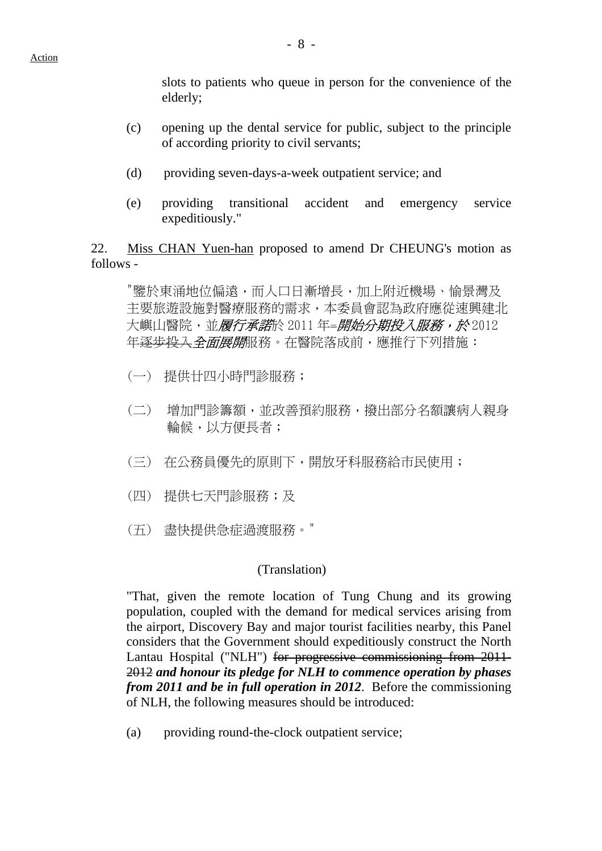slots to patients who queue in person for the convenience of the elderly;

- (c) opening up the dental service for public, subject to the principle of according priority to civil servants;
- (d) providing seven-days-a-week outpatient service; and
- (e) providing transitional accident and emergency service expeditiously."

22. Miss CHAN Yuen-han proposed to amend Dr CHEUNG's motion as follows -

"鑒於東涌地位偏遠,而人口日漸增長,加上附近機場、愉景灣及 主要旅遊設施對醫療服務的需求,本委員會認為政府應從速興建北 大嶼山醫院,並*履行承諾*於 2011 年=*開始分期投入服務,於* 2012 年逐步投入全面展開服務。在醫院落成前,應推行下列措施:

- (一) 提供廿四小時門診服務;
- (二) 增加門診籌額,並改善預約服務,撥出部分名額讓病人親身 輪候,以方便長者;
- (三) 在公務員優先的原則下,開放牙科服務給市民使用;
- (四) 提供七天門診服務;及
- (五) 盡快提供急症過渡服務。"

#### (Translation)

"That, given the remote location of Tung Chung and its growing population, coupled with the demand for medical services arising from the airport, Discovery Bay and major tourist facilities nearby, this Panel considers that the Government should expeditiously construct the North Lantau Hospital ("NLH") for progressive commissioning from 2011-2012 *and honour its pledge for NLH to commence operation by phases from 2011 and be in full operation in 2012*. Before the commissioning of NLH, the following measures should be introduced:

(a) providing round-the-clock outpatient service;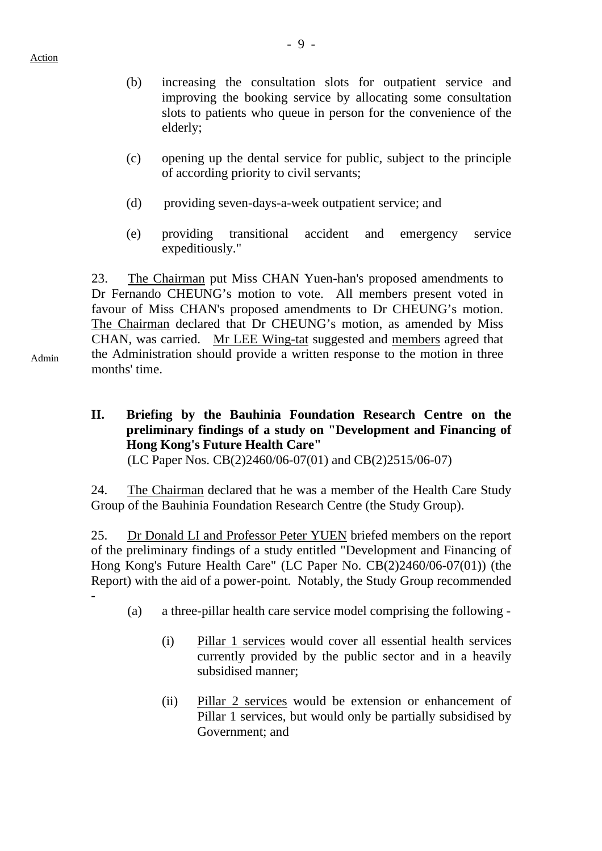- (b) increasing the consultation slots for outpatient service and improving the booking service by allocating some consultation slots to patients who queue in person for the convenience of the elderly;
- (c) opening up the dental service for public, subject to the principle of according priority to civil servants;
- (d) providing seven-days-a-week outpatient service; and
- (e) providing transitional accident and emergency service expeditiously."

23. The Chairman put Miss CHAN Yuen-han's proposed amendments to Dr Fernando CHEUNG's motion to vote. All members present voted in favour of Miss CHAN's proposed amendments to Dr CHEUNG's motion. The Chairman declared that Dr CHEUNG's motion, as amended by Miss CHAN, was carried. Mr LEE Wing-tat suggested and members agreed that the Administration should provide a written response to the motion in three months' time.

**II. Briefing by the Bauhinia Foundation Research Centre on the preliminary findings of a study on "Development and Financing of Hong Kong's Future Health Care"**  (LC Paper Nos. CB(2)2460/06-07(01) and CB(2)2515/06-07)

24. The Chairman declared that he was a member of the Health Care Study Group of the Bauhinia Foundation Research Centre (the Study Group).

25. Dr Donald LI and Professor Peter YUEN briefed members on the report of the preliminary findings of a study entitled "Development and Financing of Hong Kong's Future Health Care" (LC Paper No. CB(2)2460/06-07(01)) (the Report) with the aid of a power-point. Notably, the Study Group recommended -

- (a) a three-pillar health care service model comprising the following
	- (i) Pillar 1 services would cover all essential health services currently provided by the public sector and in a heavily subsidised manner;
	- (ii) Pillar 2 services would be extension or enhancement of Pillar 1 services, but would only be partially subsidised by Government; and

Admin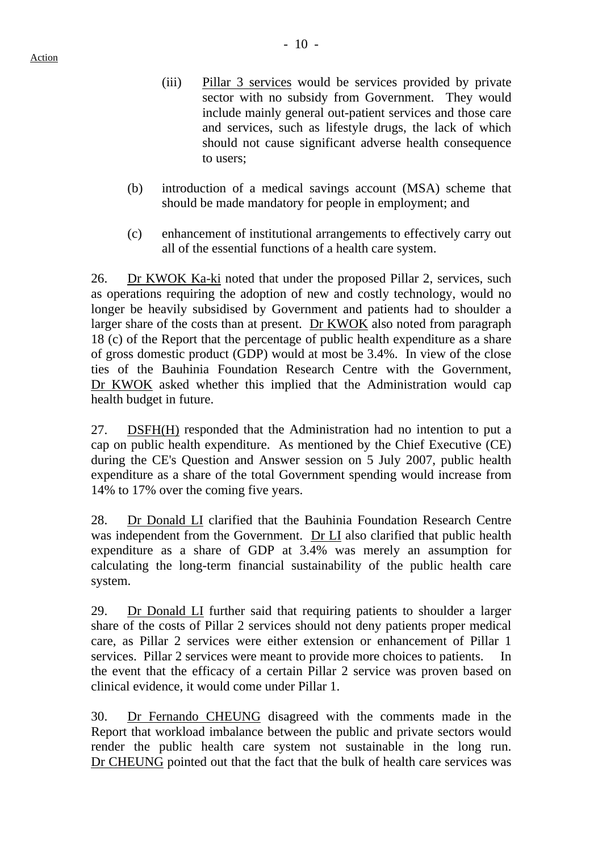- (iii) Pillar 3 services would be services provided by private sector with no subsidy from Government. They would include mainly general out-patient services and those care and services, such as lifestyle drugs, the lack of which should not cause significant adverse health consequence to users;
- (b) introduction of a medical savings account (MSA) scheme that should be made mandatory for people in employment; and
- (c) enhancement of institutional arrangements to effectively carry out all of the essential functions of a health care system.

26. Dr KWOK Ka-ki noted that under the proposed Pillar 2, services, such as operations requiring the adoption of new and costly technology, would no longer be heavily subsidised by Government and patients had to shoulder a larger share of the costs than at present. Dr KWOK also noted from paragraph 18 (c) of the Report that the percentage of public health expenditure as a share of gross domestic product (GDP) would at most be 3.4%. In view of the close ties of the Bauhinia Foundation Research Centre with the Government, Dr KWOK asked whether this implied that the Administration would cap health budget in future.

27. DSFH(H) responded that the Administration had no intention to put a cap on public health expenditure. As mentioned by the Chief Executive (CE) during the CE's Question and Answer session on 5 July 2007, public health expenditure as a share of the total Government spending would increase from 14% to 17% over the coming five years.

28. Dr Donald LI clarified that the Bauhinia Foundation Research Centre was independent from the Government. Dr LI also clarified that public health expenditure as a share of GDP at 3.4% was merely an assumption for calculating the long-term financial sustainability of the public health care system.

29. Dr Donald LI further said that requiring patients to shoulder a larger share of the costs of Pillar 2 services should not deny patients proper medical care, as Pillar 2 services were either extension or enhancement of Pillar 1 services. Pillar 2 services were meant to provide more choices to patients. In the event that the efficacy of a certain Pillar 2 service was proven based on clinical evidence, it would come under Pillar 1.

30. Dr Fernando CHEUNG disagreed with the comments made in the Report that workload imbalance between the public and private sectors would render the public health care system not sustainable in the long run. Dr CHEUNG pointed out that the fact that the bulk of health care services was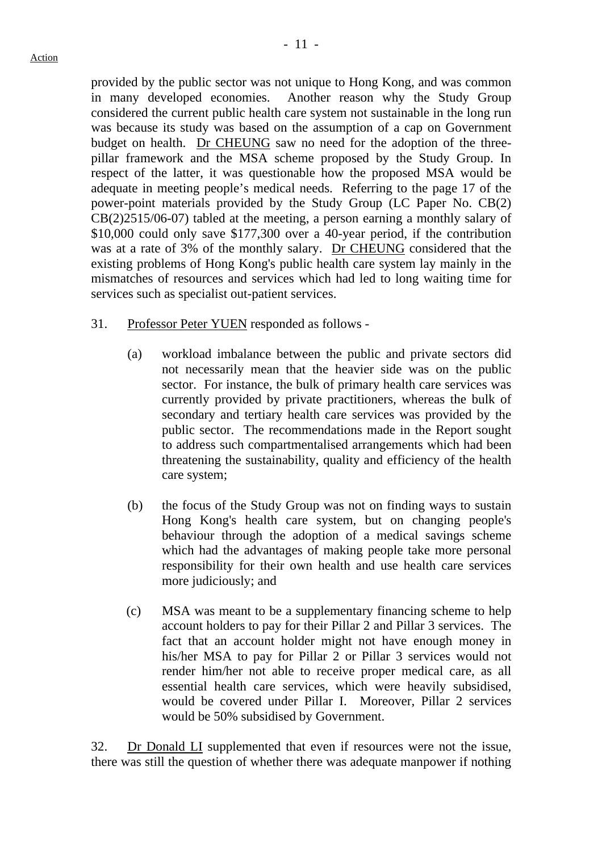provided by the public sector was not unique to Hong Kong, and was common in many developed economies. Another reason why the Study Group considered the current public health care system not sustainable in the long run was because its study was based on the assumption of a cap on Government budget on health. Dr CHEUNG saw no need for the adoption of the threepillar framework and the MSA scheme proposed by the Study Group. In respect of the latter, it was questionable how the proposed MSA would be adequate in meeting people's medical needs. Referring to the page 17 of the power-point materials provided by the Study Group (LC Paper No. CB(2) CB(2)2515/06-07) tabled at the meeting, a person earning a monthly salary of \$10,000 could only save \$177,300 over a 40-year period, if the contribution was at a rate of 3% of the monthly salary. Dr CHEUNG considered that the existing problems of Hong Kong's public health care system lay mainly in the mismatches of resources and services which had led to long waiting time for services such as specialist out-patient services.

- 31. Professor Peter YUEN responded as follows
	- (a) workload imbalance between the public and private sectors did not necessarily mean that the heavier side was on the public sector. For instance, the bulk of primary health care services was currently provided by private practitioners, whereas the bulk of secondary and tertiary health care services was provided by the public sector. The recommendations made in the Report sought to address such compartmentalised arrangements which had been threatening the sustainability, quality and efficiency of the health care system;
	- (b) the focus of the Study Group was not on finding ways to sustain Hong Kong's health care system, but on changing people's behaviour through the adoption of a medical savings scheme which had the advantages of making people take more personal responsibility for their own health and use health care services more judiciously; and
	- (c) MSA was meant to be a supplementary financing scheme to help account holders to pay for their Pillar 2 and Pillar 3 services. The fact that an account holder might not have enough money in his/her MSA to pay for Pillar 2 or Pillar 3 services would not render him/her not able to receive proper medical care, as all essential health care services, which were heavily subsidised, would be covered under Pillar I. Moreover, Pillar 2 services would be 50% subsidised by Government.

32. Dr Donald LI supplemented that even if resources were not the issue, there was still the question of whether there was adequate manpower if nothing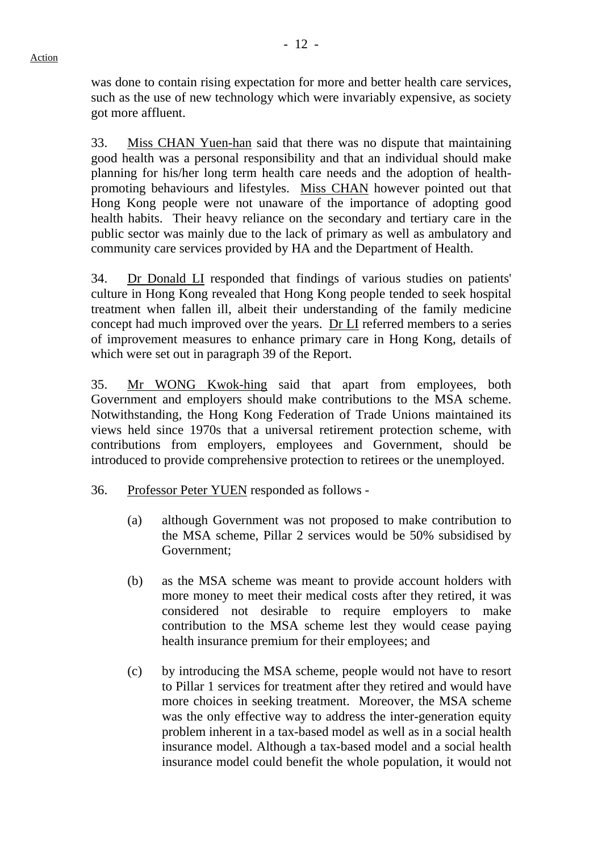was done to contain rising expectation for more and better health care services, such as the use of new technology which were invariably expensive, as society got more affluent.

33. Miss CHAN Yuen-han said that there was no dispute that maintaining good health was a personal responsibility and that an individual should make planning for his/her long term health care needs and the adoption of healthpromoting behaviours and lifestyles. Miss CHAN however pointed out that Hong Kong people were not unaware of the importance of adopting good health habits. Their heavy reliance on the secondary and tertiary care in the public sector was mainly due to the lack of primary as well as ambulatory and community care services provided by HA and the Department of Health.

34. Dr Donald LI responded that findings of various studies on patients' culture in Hong Kong revealed that Hong Kong people tended to seek hospital treatment when fallen ill, albeit their understanding of the family medicine concept had much improved over the years. Dr LI referred members to a series of improvement measures to enhance primary care in Hong Kong, details of which were set out in paragraph 39 of the Report.

35. Mr WONG Kwok-hing said that apart from employees, both Government and employers should make contributions to the MSA scheme. Notwithstanding, the Hong Kong Federation of Trade Unions maintained its views held since 1970s that a universal retirement protection scheme, with contributions from employers, employees and Government, should be introduced to provide comprehensive protection to retirees or the unemployed.

- 36. Professor Peter YUEN responded as follows
	- (a) although Government was not proposed to make contribution to the MSA scheme, Pillar 2 services would be 50% subsidised by Government;
	- (b) as the MSA scheme was meant to provide account holders with more money to meet their medical costs after they retired, it was considered not desirable to require employers to make contribution to the MSA scheme lest they would cease paying health insurance premium for their employees; and
	- (c) by introducing the MSA scheme, people would not have to resort to Pillar 1 services for treatment after they retired and would have more choices in seeking treatment. Moreover, the MSA scheme was the only effective way to address the inter-generation equity problem inherent in a tax-based model as well as in a social health insurance model. Although a tax-based model and a social health insurance model could benefit the whole population, it would not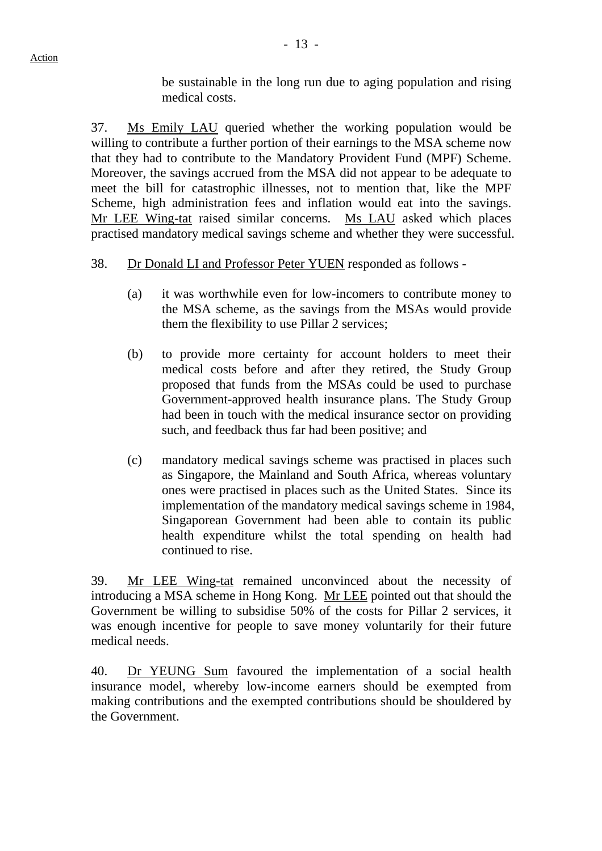be sustainable in the long run due to aging population and rising medical costs.

37. Ms Emily LAU queried whether the working population would be willing to contribute a further portion of their earnings to the MSA scheme now that they had to contribute to the Mandatory Provident Fund (MPF) Scheme. Moreover, the savings accrued from the MSA did not appear to be adequate to meet the bill for catastrophic illnesses, not to mention that, like the MPF Scheme, high administration fees and inflation would eat into the savings. Mr LEE Wing-tat raised similar concerns. Ms LAU asked which places practised mandatory medical savings scheme and whether they were successful.

# 38. Dr Donald LI and Professor Peter YUEN responded as follows -

- (a) it was worthwhile even for low-incomers to contribute money to the MSA scheme, as the savings from the MSAs would provide them the flexibility to use Pillar 2 services;
- (b) to provide more certainty for account holders to meet their medical costs before and after they retired, the Study Group proposed that funds from the MSAs could be used to purchase Government-approved health insurance plans. The Study Group had been in touch with the medical insurance sector on providing such, and feedback thus far had been positive; and
- (c) mandatory medical savings scheme was practised in places such as Singapore, the Mainland and South Africa, whereas voluntary ones were practised in places such as the United States. Since its implementation of the mandatory medical savings scheme in 1984, Singaporean Government had been able to contain its public health expenditure whilst the total spending on health had continued to rise.

39. Mr LEE Wing-tat remained unconvinced about the necessity of introducing a MSA scheme in Hong Kong. Mr LEE pointed out that should the Government be willing to subsidise 50% of the costs for Pillar 2 services, it was enough incentive for people to save money voluntarily for their future medical needs.

40. Dr YEUNG Sum favoured the implementation of a social health insurance model, whereby low-income earners should be exempted from making contributions and the exempted contributions should be shouldered by the Government.